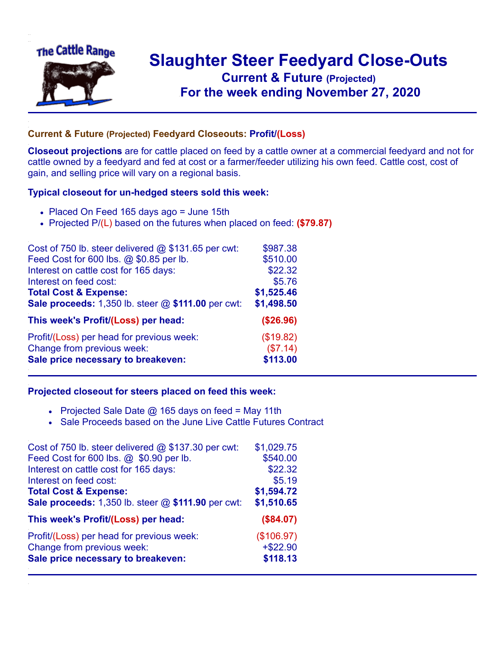

## **Slaughter Steer Feedyard Close-Outs Current & Future (Projected)** .**For the week ending November 27, 2020**

## **Current & Future (Projected) Feedyard Closeouts: Profit/(Loss)**

**Closeout projections** are for cattle placed on feed by a cattle owner at a commercial feedyard and not for cattle owned by a feedyard and fed at cost or a farmer/feeder utilizing his own feed. Cattle cost, cost of gain, and selling price will vary on a regional basis.

## **Typical closeout for un-hedged steers sold this week:**

- Placed On Feed 165 days ago = June 15th
- Projected P/(L) based on the futures when placed on feed: **(\$79.87)**

| Cost of 750 lb. steer delivered $@$ \$131.65 per cwt: | \$987.38   |
|-------------------------------------------------------|------------|
| Feed Cost for 600 lbs. @ \$0.85 per lb.               | \$510.00   |
| Interest on cattle cost for 165 days:                 | \$22.32    |
| Interest on feed cost:                                | \$5.76     |
| <b>Total Cost &amp; Expense:</b>                      | \$1,525.46 |
| Sale proceeds: 1,350 lb. steer @ \$111.00 per cwt:    | \$1,498.50 |
| This week's Profit/(Loss) per head:                   | (\$26.96)  |
| Profit/(Loss) per head for previous week:             | (\$19.82)  |
| Change from previous week:                            | (\$7.14)   |
| Sale price necessary to breakeven:                    | \$113.00   |

## **Projected closeout for steers placed on feed this week:**

- Projected Sale Date  $@$  165 days on feed = May 11th
- Sale Proceeds based on the June Live Cattle Futures Contract

| Cost of 750 lb. steer delivered $@$ \$137.30 per cwt:                   | \$1,029.75                |
|-------------------------------------------------------------------------|---------------------------|
| Feed Cost for 600 lbs. @ \$0.90 per lb.                                 | \$540.00                  |
| Interest on cattle cost for 165 days:                                   | \$22.32                   |
| Interest on feed cost:                                                  | \$5.19                    |
| <b>Total Cost &amp; Expense:</b>                                        | \$1,594.72                |
| Sale proceeds: 1,350 lb. steer @ \$111.90 per cwt:                      | \$1,510.65                |
|                                                                         |                           |
| This week's Profit/(Loss) per head:                                     | (\$84.07)                 |
|                                                                         |                           |
| Profit/(Loss) per head for previous week:<br>Change from previous week: | (\$106.97)<br>$+$ \$22.90 |
| Sale price necessary to breakeven:                                      | \$118.13                  |